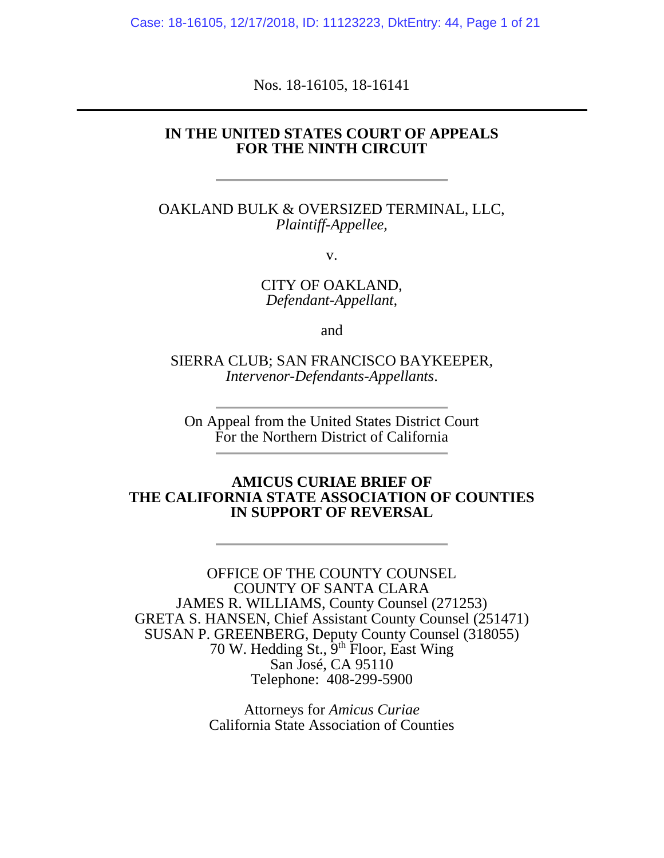Case: 18-16105, 12/17/2018, ID: 11123223, DktEntry: 44, Page 1 of 21

Nos. 18-16105, 18-16141

## **IN THE UNITED STATES COURT OF APPEALS FOR THE NINTH CIRCUIT**

OAKLAND BULK & OVERSIZED TERMINAL, LLC, *Plaintiff-Appellee,*

v.

CITY OF OAKLAND, *Defendant-Appellant,*

and

SIERRA CLUB; SAN FRANCISCO BAYKEEPER, *Intervenor-Defendants-Appellants*.

On Appeal from the United States District Court For the Northern District of California

## **AMICUS CURIAE BRIEF OF THE CALIFORNIA STATE ASSOCIATION OF COUNTIES IN SUPPORT OF REVERSAL**

OFFICE OF THE COUNTY COUNSEL COUNTY OF SANTA CLARA JAMES R. WILLIAMS, County Counsel (271253) GRETA S. HANSEN, Chief Assistant County Counsel (251471) SUSAN P. GREENBERG, Deputy County Counsel (318055) 70 W. Hedding St., 9<sup>th</sup> Floor, East Wing San José, CA 95110 Telephone: 408-299-5900

> Attorneys for *Amicus Curiae* California State Association of Counties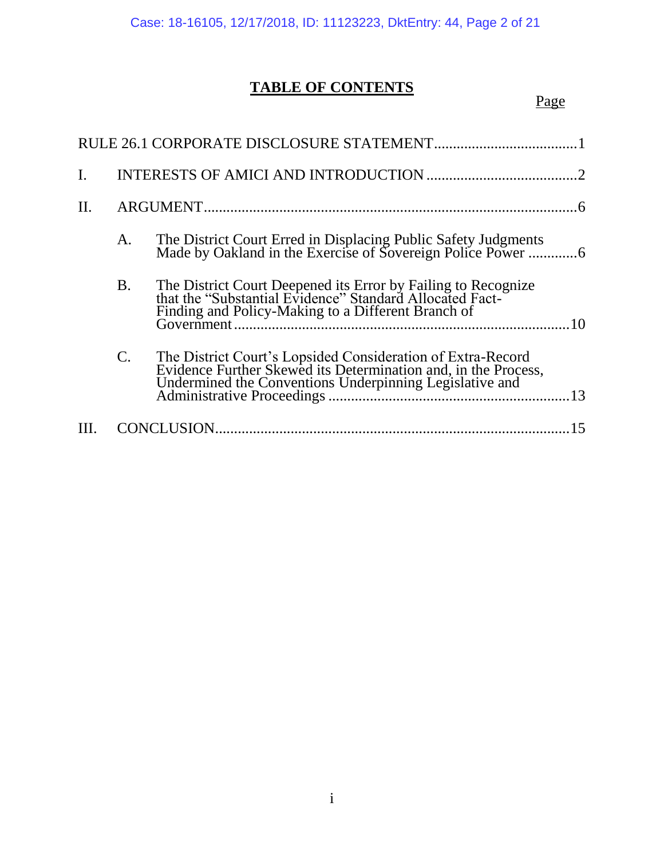# **TABLE OF CONTENTS**

# Page

| П. |                |                                                                                                                                                                                          |    |
|----|----------------|------------------------------------------------------------------------------------------------------------------------------------------------------------------------------------------|----|
|    | A.             | The District Court Erred in Displacing Public Safety Judgments<br>Made by Oakland in the Exercise of Sovereign Police Power 6                                                            |    |
|    | <b>B.</b>      | The District Court Deepened its Error by Failing to Recognize<br>that the "Substantial Evidence" Standard Allocated Fact-<br>Finding and Policy-Making to a Different Branch of          | 10 |
|    | $\mathbf{C}$ . | The District Court's Lopsided Consideration of Extra-Record<br>Evidence Further Skewed its Determination and, in the Process,<br>Undermined the Conventions Underpinning Legislative and |    |
|    |                | CONCLUSION                                                                                                                                                                               |    |
|    |                |                                                                                                                                                                                          |    |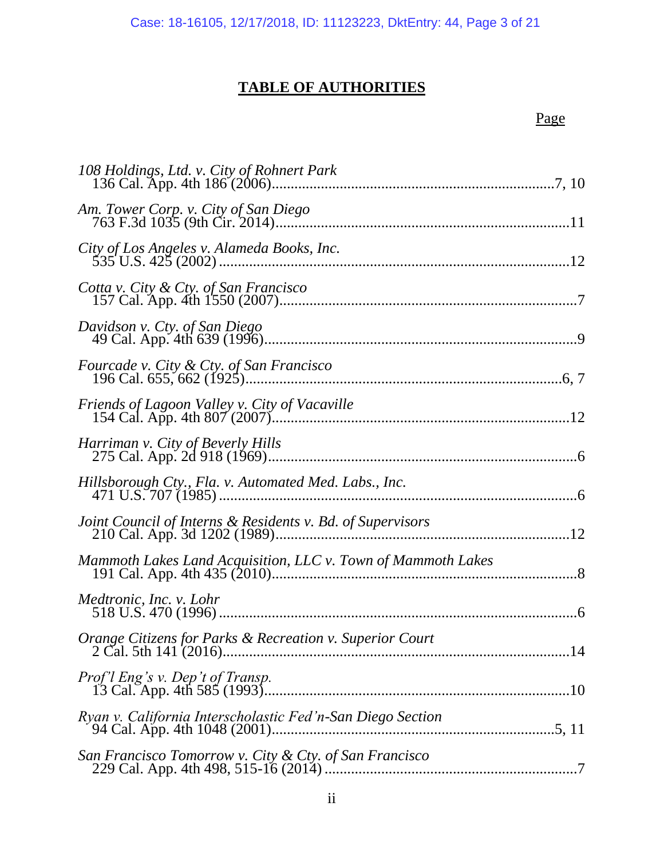# **TABLE OF AUTHORITIES**

| City of Los Angeles v. Alameda Books, Inc.                   |
|--------------------------------------------------------------|
| Cotta v. City & Cty. of San Francisco                        |
| Davidson v. Cty. of San Diego                                |
|                                                              |
|                                                              |
| Harriman v. City of Beverly Hills                            |
|                                                              |
| Joint Council of Interns & Residents v. Bd. of Supervisors   |
| Mammoth Lakes Land Acquisition, LLC v. Town of Mammoth Lakes |
| Medtronic, Inc. v. Lohr                                      |
| Orange Citizens for Parks & Recreation v. Superior Court     |
|                                                              |
| Ryan v. California Interscholastic Fed'n-San Diego Section   |
| San Francisco Tomorrow v. City & Cty. of San Francisco       |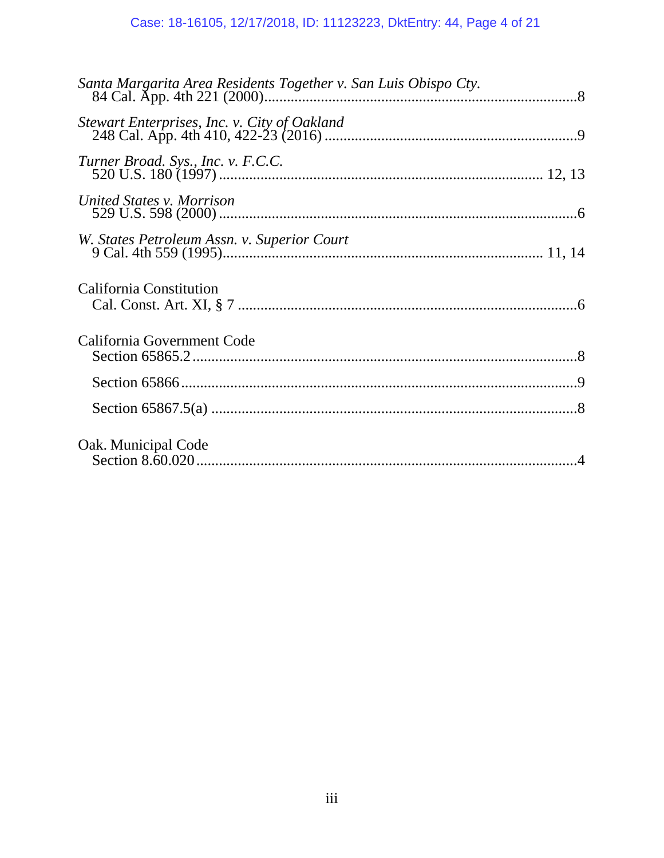| Turner Broad. Sys., Inc. v. F.C.C.          |  |
|---------------------------------------------|--|
| United States v. Morrison                   |  |
| W. States Petroleum Assn. v. Superior Court |  |
| California Constitution                     |  |
| California Government Code                  |  |
|                                             |  |
|                                             |  |
| Oak. Municipal Code                         |  |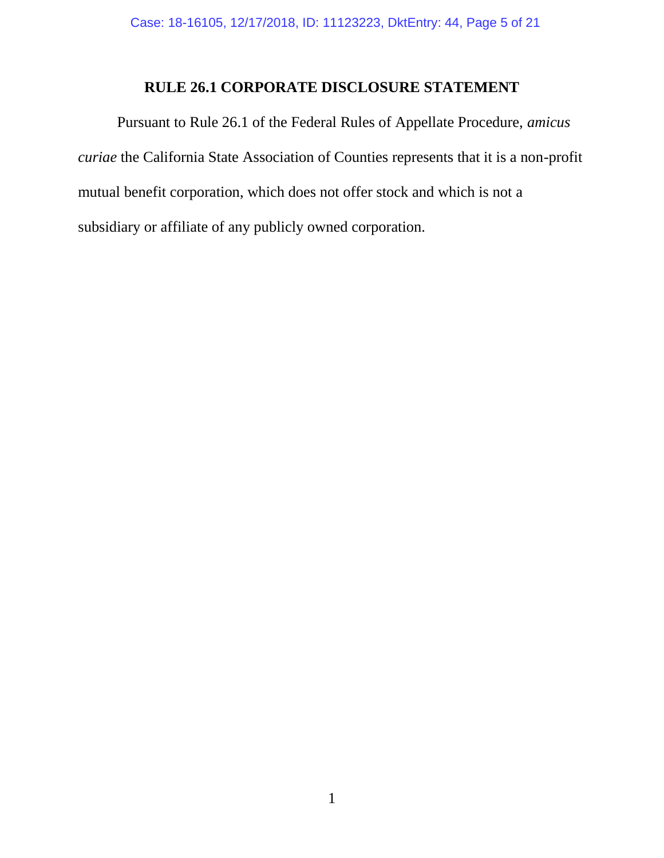# **RULE 26.1 CORPORATE DISCLOSURE STATEMENT**

Pursuant to Rule 26.1 of the Federal Rules of Appellate Procedure, *amicus curiae* the California State Association of Counties represents that it is a non-profit mutual benefit corporation, which does not offer stock and which is not a subsidiary or affiliate of any publicly owned corporation.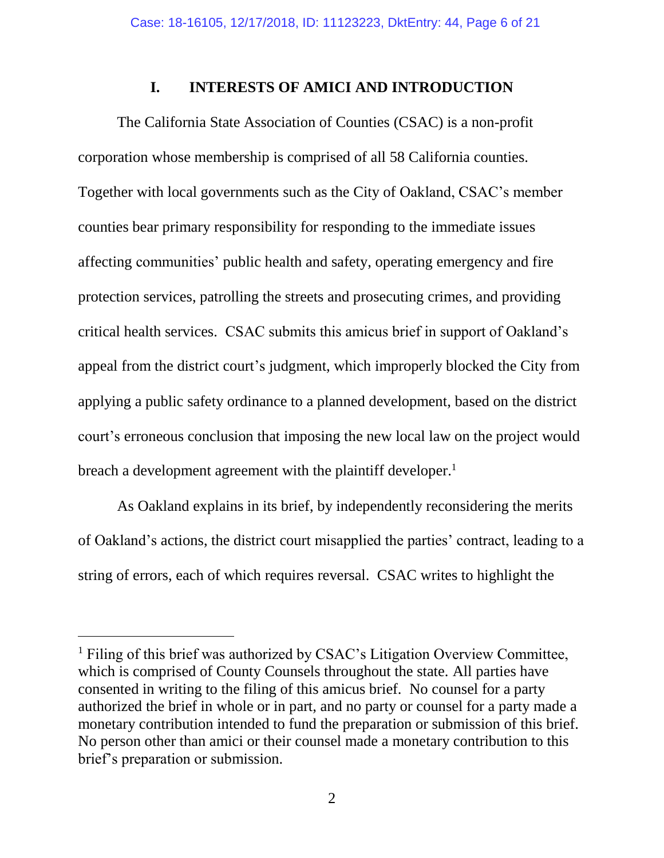## **I. INTERESTS OF AMICI AND INTRODUCTION**

The California State Association of Counties (CSAC) is a non-profit corporation whose membership is comprised of all 58 California counties. Together with local governments such as the City of Oakland, CSAC's member counties bear primary responsibility for responding to the immediate issues affecting communities' public health and safety, operating emergency and fire protection services, patrolling the streets and prosecuting crimes, and providing critical health services. CSAC submits this amicus brief in support of Oakland's appeal from the district court's judgment, which improperly blocked the City from applying a public safety ordinance to a planned development, based on the district court's erroneous conclusion that imposing the new local law on the project would breach a development agreement with the plaintiff developer.<sup>1</sup>

As Oakland explains in its brief, by independently reconsidering the merits of Oakland's actions, the district court misapplied the parties' contract, leading to a string of errors, each of which requires reversal. CSAC writes to highlight the

l

<sup>&</sup>lt;sup>1</sup> Filing of this brief was authorized by CSAC's Litigation Overview Committee, which is comprised of County Counsels throughout the state. All parties have consented in writing to the filing of this amicus brief. No counsel for a party authorized the brief in whole or in part, and no party or counsel for a party made a monetary contribution intended to fund the preparation or submission of this brief. No person other than amici or their counsel made a monetary contribution to this brief's preparation or submission.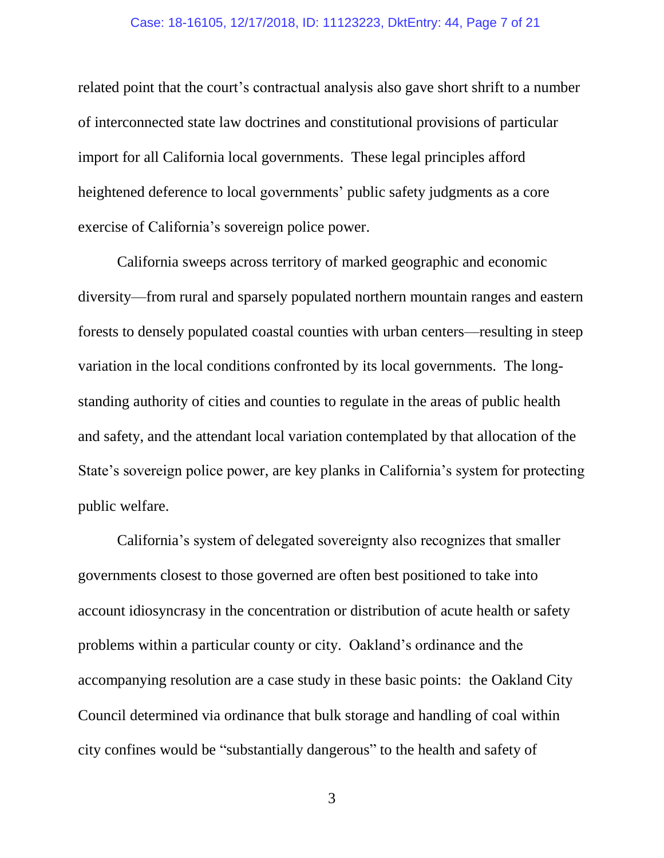#### Case: 18-16105, 12/17/2018, ID: 11123223, DktEntry: 44, Page 7 of 21

related point that the court's contractual analysis also gave short shrift to a number of interconnected state law doctrines and constitutional provisions of particular import for all California local governments. These legal principles afford heightened deference to local governments' public safety judgments as a core exercise of California's sovereign police power.

California sweeps across territory of marked geographic and economic diversity—from rural and sparsely populated northern mountain ranges and eastern forests to densely populated coastal counties with urban centers—resulting in steep variation in the local conditions confronted by its local governments. The longstanding authority of cities and counties to regulate in the areas of public health and safety, and the attendant local variation contemplated by that allocation of the State's sovereign police power, are key planks in California's system for protecting public welfare.

California's system of delegated sovereignty also recognizes that smaller governments closest to those governed are often best positioned to take into account idiosyncrasy in the concentration or distribution of acute health or safety problems within a particular county or city. Oakland's ordinance and the accompanying resolution are a case study in these basic points: the Oakland City Council determined via ordinance that bulk storage and handling of coal within city confines would be "substantially dangerous" to the health and safety of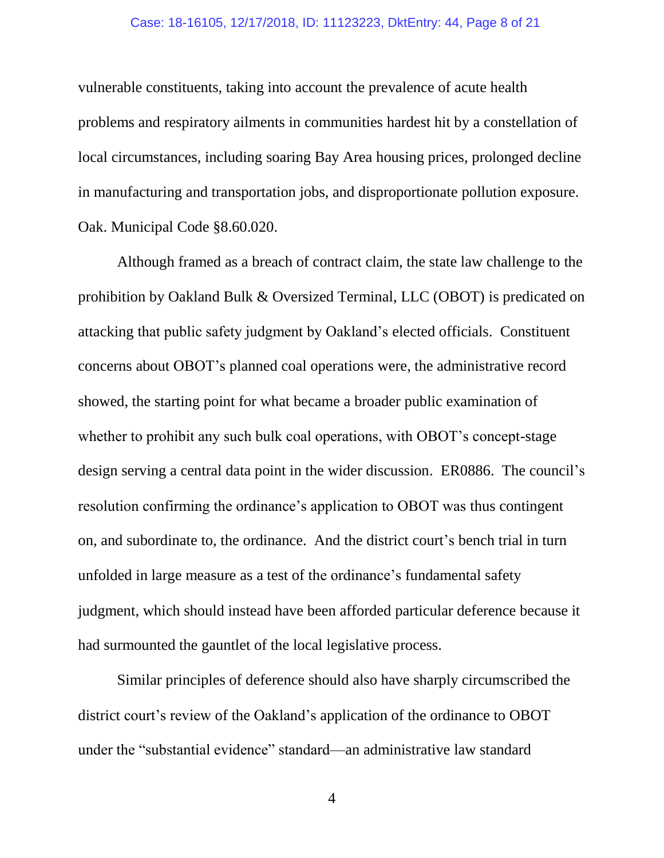#### Case: 18-16105, 12/17/2018, ID: 11123223, DktEntry: 44, Page 8 of 21

vulnerable constituents, taking into account the prevalence of acute health problems and respiratory ailments in communities hardest hit by a constellation of local circumstances, including soaring Bay Area housing prices, prolonged decline in manufacturing and transportation jobs, and disproportionate pollution exposure. Oak. Municipal Code §8.60.020.

Although framed as a breach of contract claim, the state law challenge to the prohibition by Oakland Bulk & Oversized Terminal, LLC (OBOT) is predicated on attacking that public safety judgment by Oakland's elected officials. Constituent concerns about OBOT's planned coal operations were, the administrative record showed, the starting point for what became a broader public examination of whether to prohibit any such bulk coal operations, with OBOT's concept-stage design serving a central data point in the wider discussion. ER0886. The council's resolution confirming the ordinance's application to OBOT was thus contingent on, and subordinate to, the ordinance. And the district court's bench trial in turn unfolded in large measure as a test of the ordinance's fundamental safety judgment, which should instead have been afforded particular deference because it had surmounted the gauntlet of the local legislative process.

Similar principles of deference should also have sharply circumscribed the district court's review of the Oakland's application of the ordinance to OBOT under the "substantial evidence" standard—an administrative law standard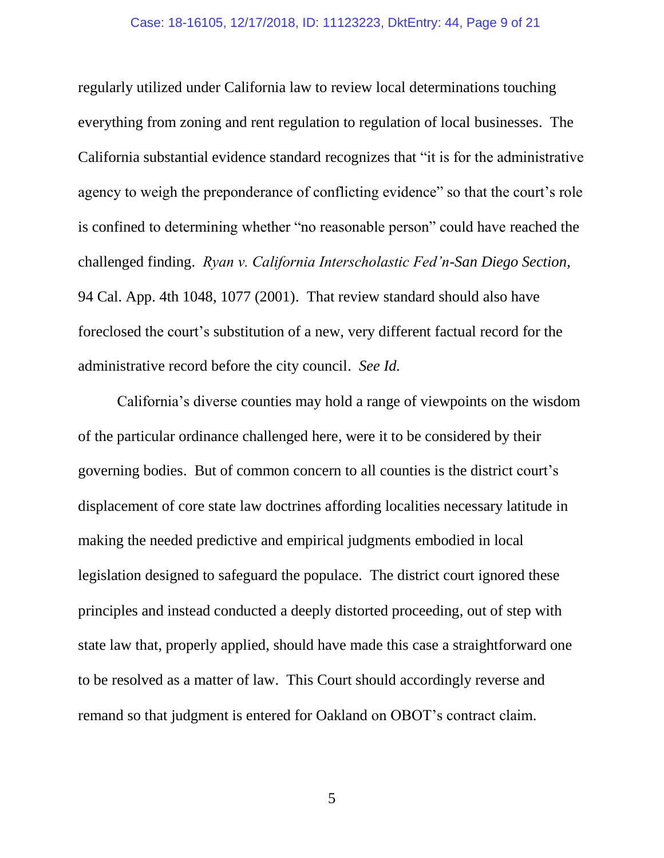regularly utilized under California law to review local determinations touching everything from zoning and rent regulation to regulation of local businesses. The California substantial evidence standard recognizes that "it is for the administrative agency to weigh the preponderance of conflicting evidence" so that the court's role is confined to determining whether "no reasonable person" could have reached the challenged finding. *Ryan v. California Interscholastic Fed'n-San Diego Section*, 94 Cal. App. 4th 1048, 1077 (2001). That review standard should also have foreclosed the court's substitution of a new, very different factual record for the administrative record before the city council. *See Id.*

California's diverse counties may hold a range of viewpoints on the wisdom of the particular ordinance challenged here, were it to be considered by their governing bodies. But of common concern to all counties is the district court's displacement of core state law doctrines affording localities necessary latitude in making the needed predictive and empirical judgments embodied in local legislation designed to safeguard the populace. The district court ignored these principles and instead conducted a deeply distorted proceeding, out of step with state law that, properly applied, should have made this case a straightforward one to be resolved as a matter of law. This Court should accordingly reverse and remand so that judgment is entered for Oakland on OBOT's contract claim.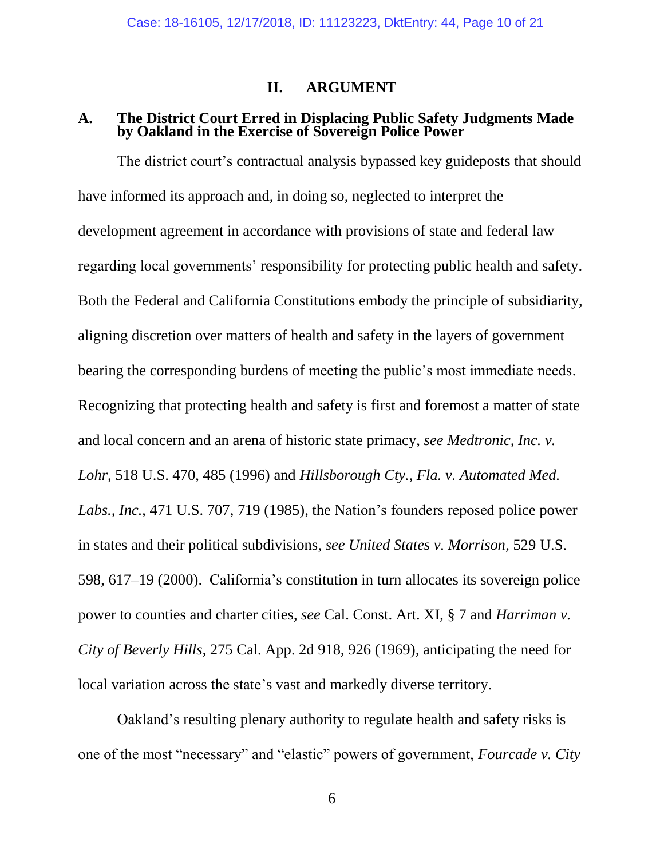## **II. ARGUMENT**

## **A. The District Court Erred in Displacing Public Safety Judgments Made by Oakland in the Exercise of Sovereign Police Power**

The district court's contractual analysis bypassed key guideposts that should have informed its approach and, in doing so, neglected to interpret the development agreement in accordance with provisions of state and federal law regarding local governments' responsibility for protecting public health and safety. Both the Federal and California Constitutions embody the principle of subsidiarity, aligning discretion over matters of health and safety in the layers of government bearing the corresponding burdens of meeting the public's most immediate needs. Recognizing that protecting health and safety is first and foremost a matter of state and local concern and an arena of historic state primacy, *see Medtronic, Inc. v. Lohr*, 518 U.S. 470, 485 (1996) and *Hillsborough Cty., Fla. v. Automated Med. Labs., Inc.*, 471 U.S. 707, 719 (1985), the Nation's founders reposed police power in states and their political subdivisions, *see United States v. Morrison*, 529 U.S. 598, 617–19 (2000). California's constitution in turn allocates its sovereign police power to counties and charter cities, *see* Cal. Const. Art. XI, § 7 and *Harriman v. City of Beverly Hills*, 275 Cal. App. 2d 918, 926 (1969), anticipating the need for local variation across the state's vast and markedly diverse territory.

Oakland's resulting plenary authority to regulate health and safety risks is one of the most "necessary" and "elastic" powers of government, *Fourcade v. City*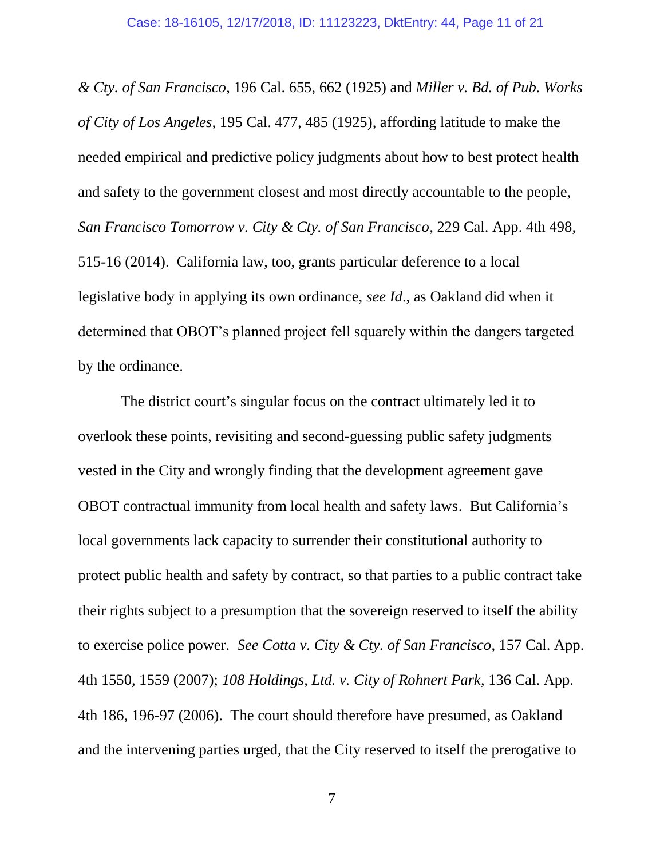*& Cty. of San Francisco*, 196 Cal. 655, 662 (1925) and *Miller v. Bd. of Pub. Works of City of Los Angeles*, 195 Cal. 477, 485 (1925), affording latitude to make the needed empirical and predictive policy judgments about how to best protect health and safety to the government closest and most directly accountable to the people, *San Francisco Tomorrow v. City & Cty. of San Francisco*, 229 Cal. App. 4th 498, 515-16 (2014). California law, too, grants particular deference to a local legislative body in applying its own ordinance, *see Id*., as Oakland did when it determined that OBOT's planned project fell squarely within the dangers targeted by the ordinance.

The district court's singular focus on the contract ultimately led it to overlook these points, revisiting and second-guessing public safety judgments vested in the City and wrongly finding that the development agreement gave OBOT contractual immunity from local health and safety laws. But California's local governments lack capacity to surrender their constitutional authority to protect public health and safety by contract, so that parties to a public contract take their rights subject to a presumption that the sovereign reserved to itself the ability to exercise police power. *See Cotta v. City & Cty. of San Francisco*, 157 Cal. App. 4th 1550, 1559 (2007); *108 Holdings, Ltd. v. City of Rohnert Park*, 136 Cal. App. 4th 186, 196-97 (2006). The court should therefore have presumed, as Oakland and the intervening parties urged, that the City reserved to itself the prerogative to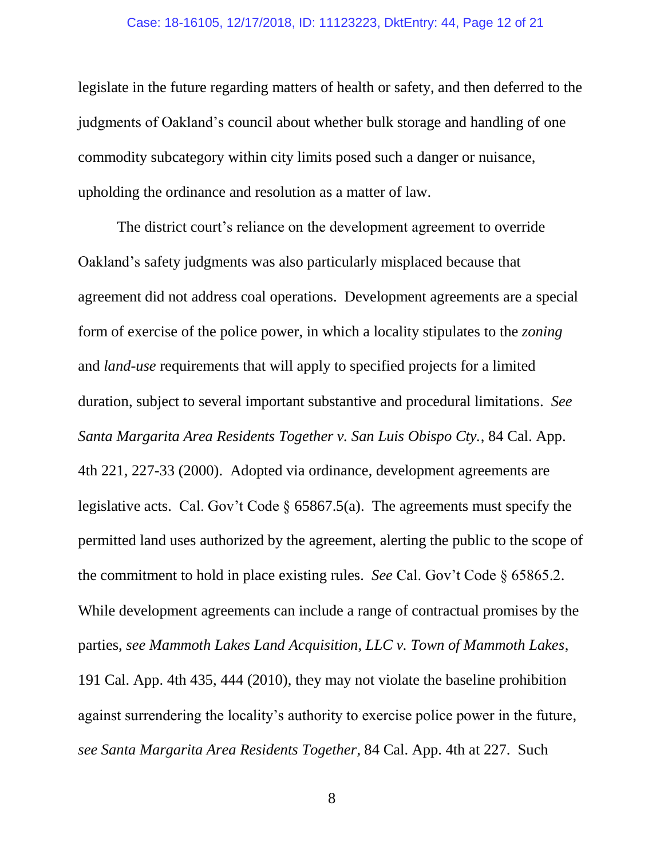#### Case: 18-16105, 12/17/2018, ID: 11123223, DktEntry: 44, Page 12 of 21

legislate in the future regarding matters of health or safety, and then deferred to the judgments of Oakland's council about whether bulk storage and handling of one commodity subcategory within city limits posed such a danger or nuisance, upholding the ordinance and resolution as a matter of law.

The district court's reliance on the development agreement to override Oakland's safety judgments was also particularly misplaced because that agreement did not address coal operations. Development agreements are a special form of exercise of the police power, in which a locality stipulates to the *zoning* and *land-use* requirements that will apply to specified projects for a limited duration, subject to several important substantive and procedural limitations. *See Santa Margarita Area Residents Together v. San Luis Obispo Cty.*, 84 Cal. App. 4th 221, 227-33 (2000). Adopted via ordinance, development agreements are legislative acts. Cal. Gov't Code § 65867.5(a). The agreements must specify the permitted land uses authorized by the agreement, alerting the public to the scope of the commitment to hold in place existing rules. *See* Cal. Gov't Code § 65865.2. While development agreements can include a range of contractual promises by the parties, *see Mammoth Lakes Land Acquisition, LLC v. Town of Mammoth Lakes*, 191 Cal. App. 4th 435, 444 (2010), they may not violate the baseline prohibition against surrendering the locality's authority to exercise police power in the future, *see Santa Margarita Area Residents Together*, 84 Cal. App. 4th at 227. Such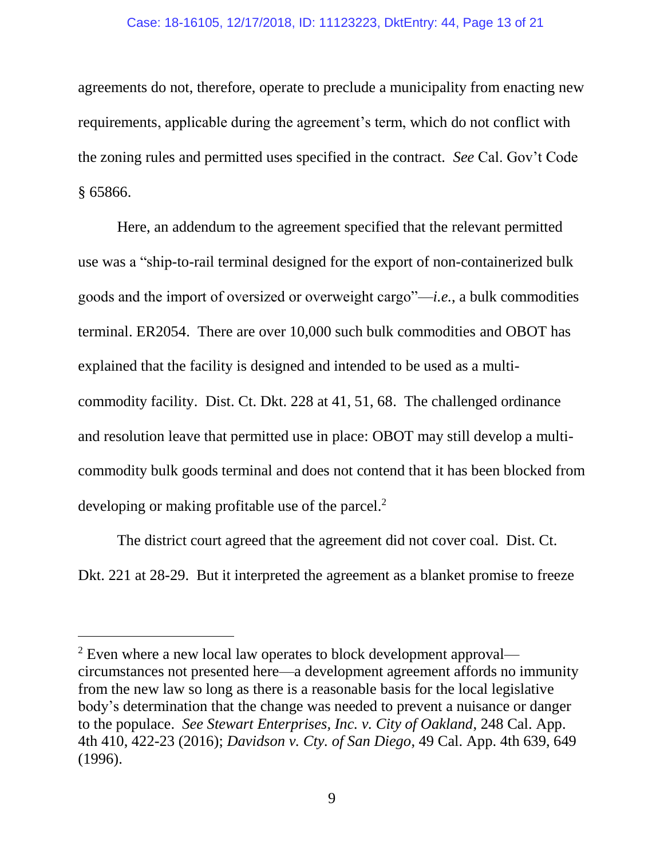#### Case: 18-16105, 12/17/2018, ID: 11123223, DktEntry: 44, Page 13 of 21

agreements do not, therefore, operate to preclude a municipality from enacting new requirements, applicable during the agreement's term, which do not conflict with the zoning rules and permitted uses specified in the contract. *See* Cal. Gov't Code § 65866.

Here, an addendum to the agreement specified that the relevant permitted use was a "ship-to-rail terminal designed for the export of non-containerized bulk goods and the import of oversized or overweight cargo"—*i.e.*, a bulk commodities terminal. ER2054. There are over 10,000 such bulk commodities and OBOT has explained that the facility is designed and intended to be used as a multicommodity facility. Dist. Ct. Dkt. 228 at 41, 51, 68. The challenged ordinance and resolution leave that permitted use in place: OBOT may still develop a multicommodity bulk goods terminal and does not contend that it has been blocked from developing or making profitable use of the parcel.<sup>2</sup>

The district court agreed that the agreement did not cover coal. Dist. Ct. Dkt. 221 at 28-29. But it interpreted the agreement as a blanket promise to freeze

l

 $2$  Even where a new local law operates to block development approval circumstances not presented here—a development agreement affords no immunity from the new law so long as there is a reasonable basis for the local legislative body's determination that the change was needed to prevent a nuisance or danger to the populace. *See Stewart Enterprises, Inc. v. City of Oakland*, 248 Cal. App. 4th 410, 422-23 (2016); *Davidson v. Cty. of San Diego*, 49 Cal. App. 4th 639, 649 (1996).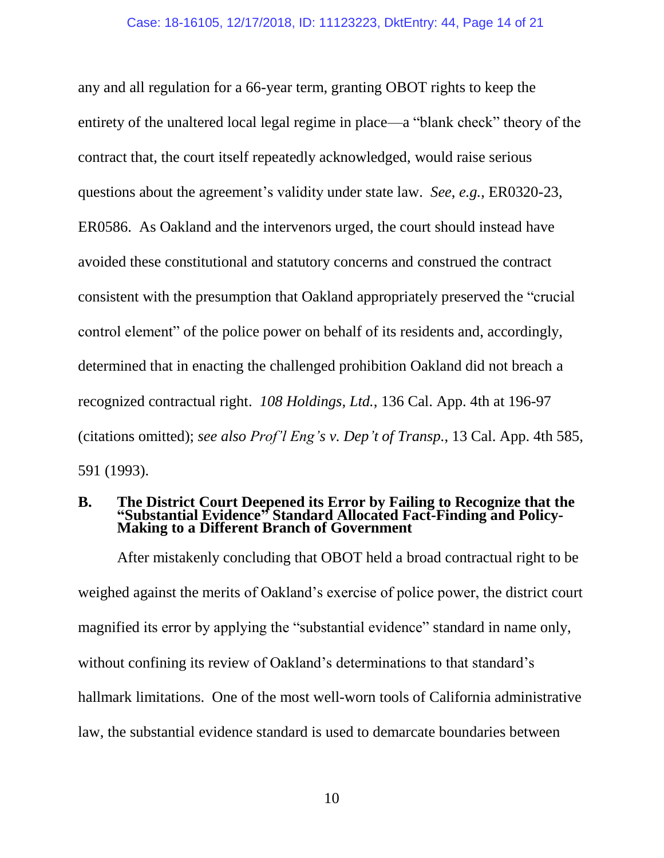any and all regulation for a 66-year term, granting OBOT rights to keep the entirety of the unaltered local legal regime in place—a "blank check" theory of the contract that, the court itself repeatedly acknowledged, would raise serious questions about the agreement's validity under state law. *See*, *e.g.*, ER0320-23, ER0586. As Oakland and the intervenors urged, the court should instead have avoided these constitutional and statutory concerns and construed the contract consistent with the presumption that Oakland appropriately preserved the "crucial control element" of the police power on behalf of its residents and, accordingly, determined that in enacting the challenged prohibition Oakland did not breach a recognized contractual right. *108 Holdings, Ltd.*, 136 Cal. App. 4th at 196-97 (citations omitted); *see also Prof'l Eng's v. Dep't of Transp.*, 13 Cal. App. 4th 585, 591 (1993).

#### **B. The District Court Deepened its Error by Failing to Recognize that the "Substantial Evidence" Standard Allocated Fact-Finding and Policy-Making to a Different Branch of Government**

After mistakenly concluding that OBOT held a broad contractual right to be weighed against the merits of Oakland's exercise of police power, the district court magnified its error by applying the "substantial evidence" standard in name only, without confining its review of Oakland's determinations to that standard's hallmark limitations. One of the most well-worn tools of California administrative law, the substantial evidence standard is used to demarcate boundaries between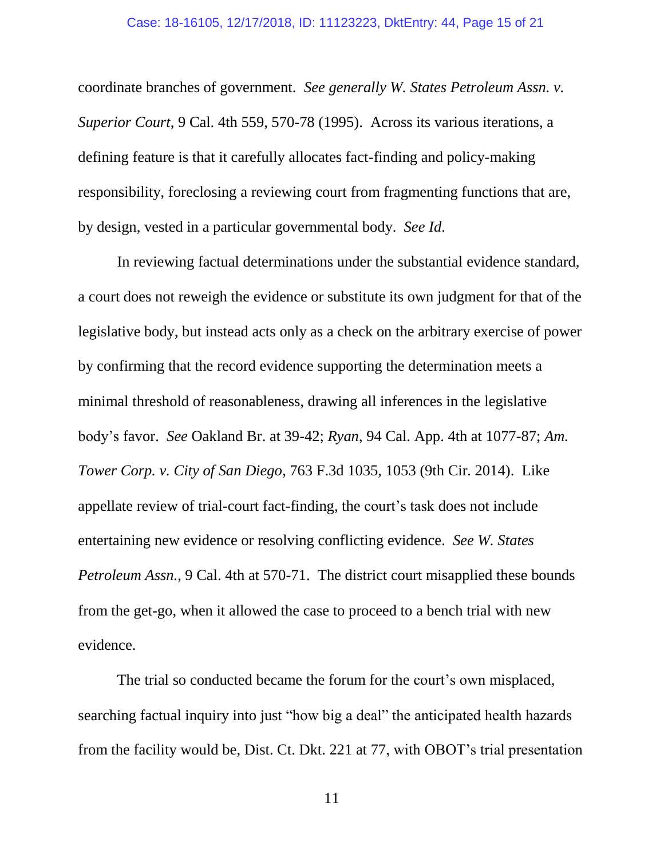coordinate branches of government. *See generally W. States Petroleum Assn. v. Superior Court*, 9 Cal. 4th 559, 570-78 (1995). Across its various iterations, a defining feature is that it carefully allocates fact-finding and policy-making responsibility, foreclosing a reviewing court from fragmenting functions that are, by design, vested in a particular governmental body. *See Id*.

In reviewing factual determinations under the substantial evidence standard, a court does not reweigh the evidence or substitute its own judgment for that of the legislative body, but instead acts only as a check on the arbitrary exercise of power by confirming that the record evidence supporting the determination meets a minimal threshold of reasonableness, drawing all inferences in the legislative body's favor. *See* Oakland Br. at 39-42; *Ryan*, 94 Cal. App. 4th at 1077-87; *Am. Tower Corp. v. City of San Diego*, 763 F.3d 1035, 1053 (9th Cir. 2014). Like appellate review of trial-court fact-finding, the court's task does not include entertaining new evidence or resolving conflicting evidence. *See W. States Petroleum Assn.*, 9 Cal. 4th at 570-71. The district court misapplied these bounds from the get-go, when it allowed the case to proceed to a bench trial with new evidence.

The trial so conducted became the forum for the court's own misplaced, searching factual inquiry into just "how big a deal" the anticipated health hazards from the facility would be, Dist. Ct. Dkt. 221 at 77, with OBOT's trial presentation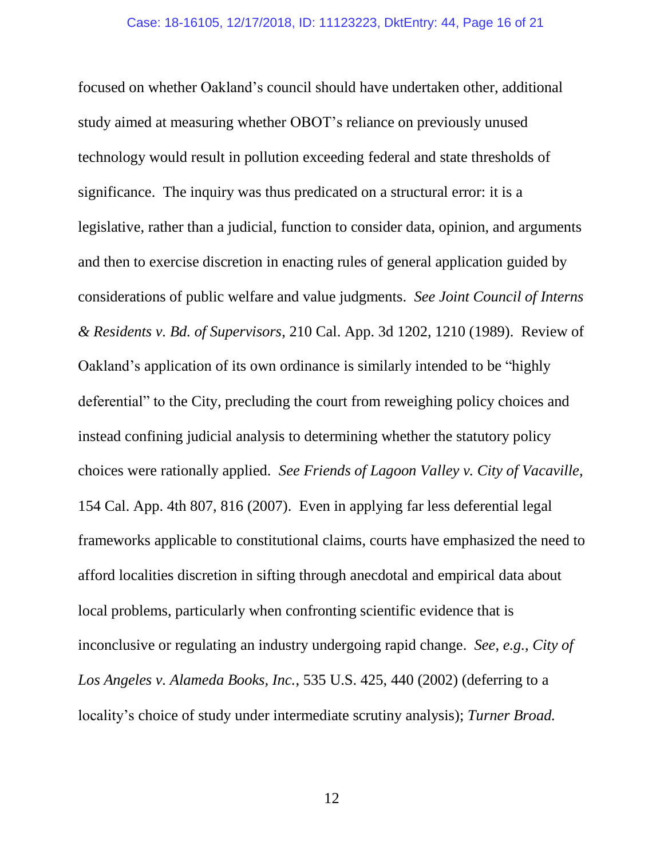focused on whether Oakland's council should have undertaken other, additional study aimed at measuring whether OBOT's reliance on previously unused technology would result in pollution exceeding federal and state thresholds of significance. The inquiry was thus predicated on a structural error: it is a legislative, rather than a judicial, function to consider data, opinion, and arguments and then to exercise discretion in enacting rules of general application guided by considerations of public welfare and value judgments. *See Joint Council of Interns & Residents v. Bd. of Supervisors*, 210 Cal. App. 3d 1202, 1210 (1989). Review of Oakland's application of its own ordinance is similarly intended to be "highly deferential" to the City, precluding the court from reweighing policy choices and instead confining judicial analysis to determining whether the statutory policy choices were rationally applied. *See Friends of Lagoon Valley v. City of Vacaville*, 154 Cal. App. 4th 807, 816 (2007). Even in applying far less deferential legal frameworks applicable to constitutional claims, courts have emphasized the need to afford localities discretion in sifting through anecdotal and empirical data about local problems, particularly when confronting scientific evidence that is inconclusive or regulating an industry undergoing rapid change. *See*, *e.g.*, *City of Los Angeles v. Alameda Books, Inc.*, 535 U.S. 425, 440 (2002) (deferring to a locality's choice of study under intermediate scrutiny analysis); *Turner Broad.*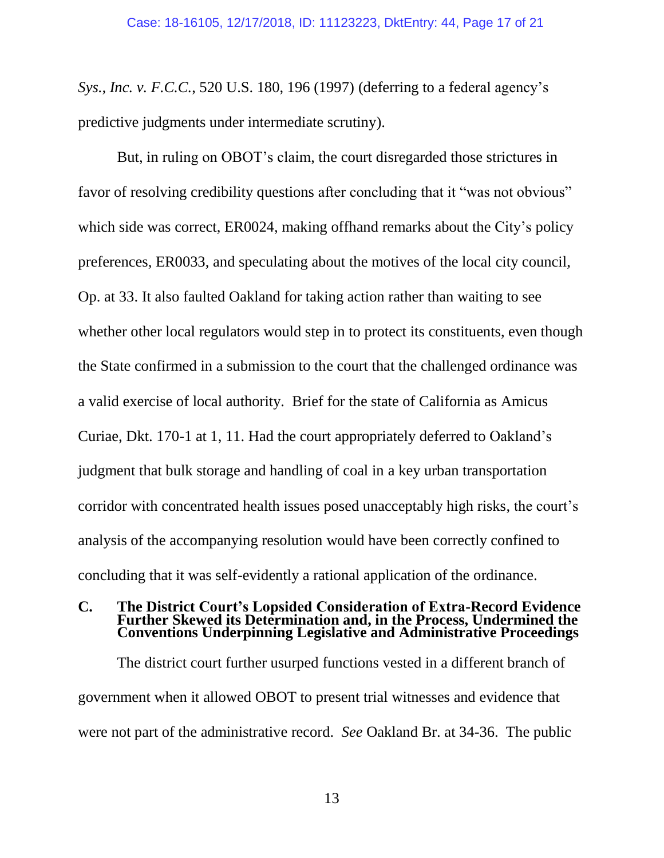*Sys., Inc. v. F.C.C.*, 520 U.S. 180, 196 (1997) (deferring to a federal agency's predictive judgments under intermediate scrutiny).

But, in ruling on OBOT's claim, the court disregarded those strictures in favor of resolving credibility questions after concluding that it "was not obvious" which side was correct, ER0024, making offhand remarks about the City's policy preferences, ER0033, and speculating about the motives of the local city council, Op. at 33. It also faulted Oakland for taking action rather than waiting to see whether other local regulators would step in to protect its constituents, even though the State confirmed in a submission to the court that the challenged ordinance was a valid exercise of local authority. Brief for the state of California as Amicus Curiae, Dkt. 170-1 at 1, 11. Had the court appropriately deferred to Oakland's judgment that bulk storage and handling of coal in a key urban transportation corridor with concentrated health issues posed unacceptably high risks, the court's analysis of the accompanying resolution would have been correctly confined to concluding that it was self-evidently a rational application of the ordinance.

### **C. The District Court's Lopsided Consideration of Extra-Record Evidence Further Skewed its Determination and, in the Process, Undermined the Conventions Underpinning Legislative and Administrative Proceedings**

The district court further usurped functions vested in a different branch of government when it allowed OBOT to present trial witnesses and evidence that were not part of the administrative record. *See* Oakland Br. at 34-36. The public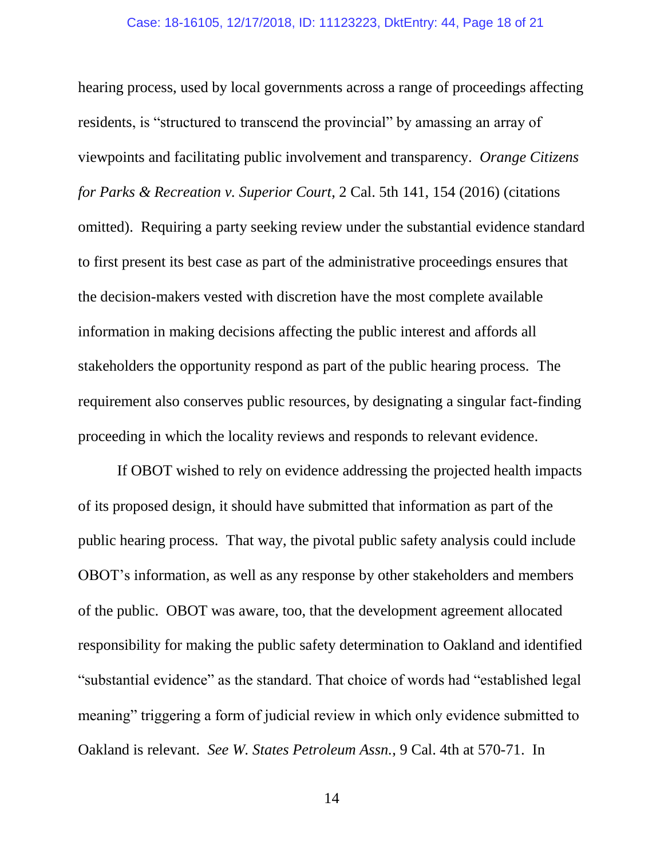hearing process, used by local governments across a range of proceedings affecting residents, is "structured to transcend the provincial" by amassing an array of viewpoints and facilitating public involvement and transparency. *Orange Citizens for Parks & Recreation v. Superior Court*, 2 Cal. 5th 141, 154 (2016) (citations omitted). Requiring a party seeking review under the substantial evidence standard to first present its best case as part of the administrative proceedings ensures that the decision-makers vested with discretion have the most complete available information in making decisions affecting the public interest and affords all stakeholders the opportunity respond as part of the public hearing process. The requirement also conserves public resources, by designating a singular fact-finding proceeding in which the locality reviews and responds to relevant evidence.

If OBOT wished to rely on evidence addressing the projected health impacts of its proposed design, it should have submitted that information as part of the public hearing process. That way, the pivotal public safety analysis could include OBOT's information, as well as any response by other stakeholders and members of the public. OBOT was aware, too, that the development agreement allocated responsibility for making the public safety determination to Oakland and identified "substantial evidence" as the standard. That choice of words had "established legal meaning" triggering a form of judicial review in which only evidence submitted to Oakland is relevant. *See W. States Petroleum Assn.*, 9 Cal. 4th at 570-71. In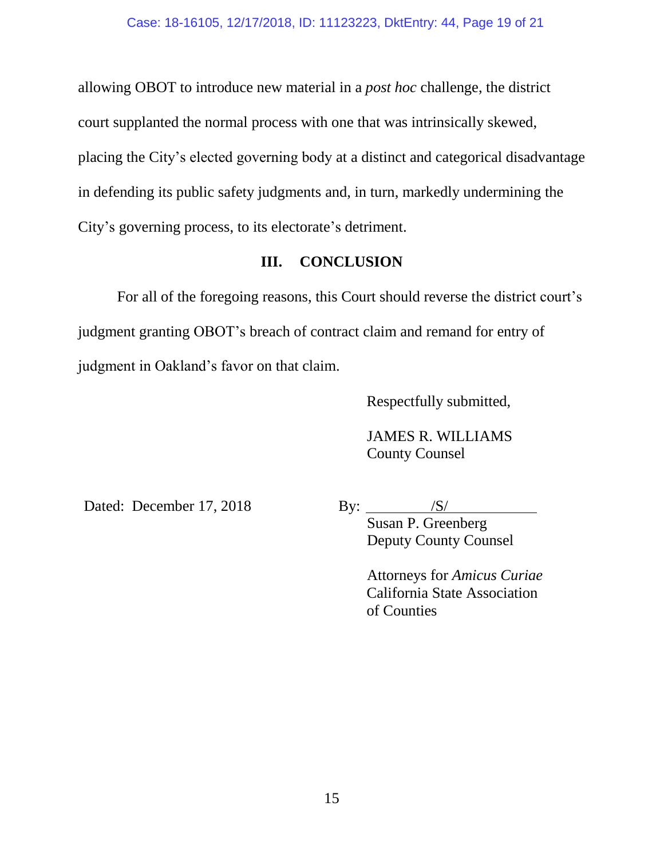allowing OBOT to introduce new material in a *post hoc* challenge, the district court supplanted the normal process with one that was intrinsically skewed, placing the City's elected governing body at a distinct and categorical disadvantage in defending its public safety judgments and, in turn, markedly undermining the City's governing process, to its electorate's detriment.

# **III. CONCLUSION**

For all of the foregoing reasons, this Court should reverse the district court's judgment granting OBOT's breach of contract claim and remand for entry of judgment in Oakland's favor on that claim.

Respectfully submitted,

JAMES R. WILLIAMS County Counsel

Dated: December 17, 2018

By:  $\frac{\text{S}}{\text{S}}$ 

Susan P. Greenberg Deputy County Counsel

Attorneys for *Amicus Curiae* California State Association of Counties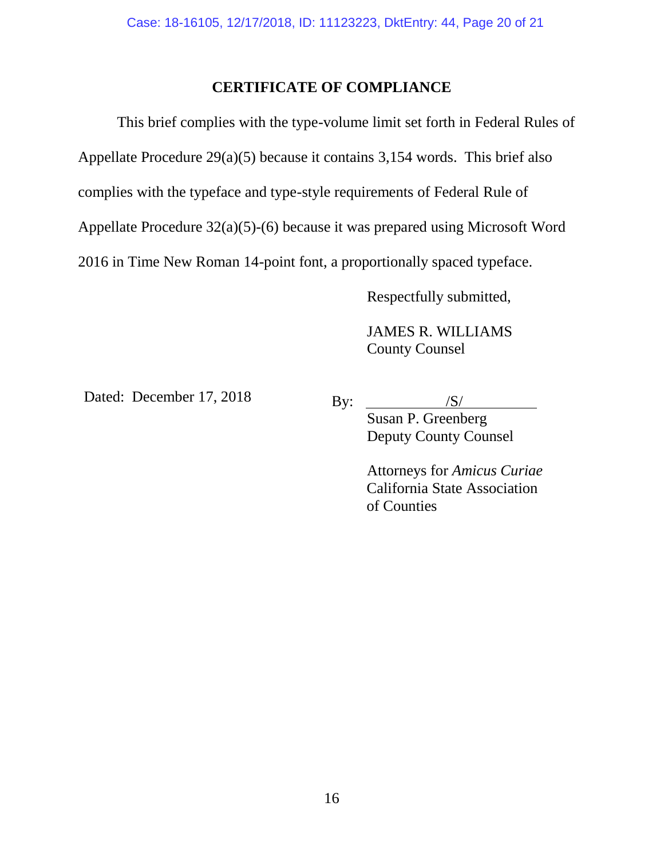## **CERTIFICATE OF COMPLIANCE**

This brief complies with the type-volume limit set forth in Federal Rules of Appellate Procedure 29(a)(5) because it contains 3,154 words. This brief also complies with the typeface and type-style requirements of Federal Rule of Appellate Procedure 32(a)(5)-(6) because it was prepared using Microsoft Word 2016 in Time New Roman 14-point font, a proportionally spaced typeface.

Respectfully submitted,

JAMES R. WILLIAMS County Counsel

Dated: December 17, 2018

By:  $\frac{|S|}{|S|}$ Susan P. Greenberg Deputy County Counsel

> Attorneys for *Amicus Curiae* California State Association of Counties